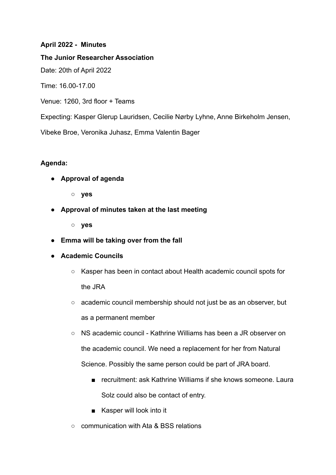# **April 2022 - Minutes**

**The Junior Researcher Association**

Date: 20th of April 2022

Time: 16.00-17.00

Venue: 1260, 3rd floor + Teams

Expecting: Kasper Glerup Lauridsen, Cecilie Nørby Lyhne, Anne Birkeholm Jensen,

Vibeke Broe, Veronika Juhasz, Emma Valentin Bager

# **Agenda:**

**● Approval of agenda**

**○ yes**

**● Approval of minutes taken at the last meeting**

**○ yes**

**● Emma will be taking over from the fall**

### **● Academic Councils**

- Kasper has been in contact about Health academic council spots for the JRA
- academic council membership should not just be as an observer, but as a permanent member
- NS academic council Kathrine Williams has been a JR observer on the academic council. We need a replacement for her from Natural Science. Possibly the same person could be part of JRA board.
	- recruitment: ask Kathrine Williams if she knows someone. Laura Solz could also be contact of entry.
	- Kasper will look into it
- communication with Ata & BSS relations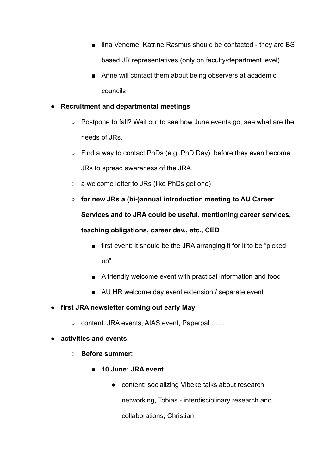- ilna Veneme, Katrine Rasmus should be contacted they are BS based JR representatives (only on faculty/department level)
- Anne will contact them about being observers at academic councils

# **● Recruitment and departmental meetings**

- Postpone to fall? Wait out to see how June events go, see what are the needs of JRs.
- Find a way to contact PhDs (e.g. PhD Day), before they even become JRs to spread awareness of the JRA.
- a welcome letter to JRs (like PhDs get one)
- **○ for new JRs a (bi-)annual introduction meeting to AU Career Services and to JRA could be useful. mentioning career services, teaching obligations, career dev., etc., CED**
	- first event: it should be the JRA arranging it for it to be "picked" up"
	- A friendly welcome event with practical information and food
	- AU HR welcome day event extension / separate event
- **● first JRA newsletter coming out early May**
	- content: JRA events, AIAS event, Paperpal ……

### **● activities and events**

- **○ Before summer:**
	- **■ 10 June: JRA event**
		- content: socializing Vibeke talks about research networking, Tobias - interdisciplinary research and collaborations, Christian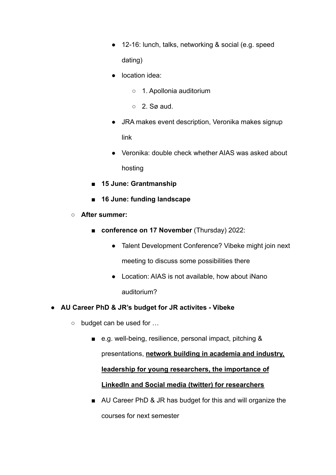- 12-16: lunch, talks, networking & social (e.g. speed dating)
- location idea:
	- 1. Apollonia auditorium
	- 2. Sø aud.
- JRA makes event description, Veronika makes signup link
- Veronika: double check whether AIAS was asked about hosting
- **■ 15 June: Grantmanship**
- **■ 16 June: funding landscape**
- **○ After summer:**
	- **conference on 17 November** (Thursday) 2022:
		- Talent Development Conference? Vibeke might join next meeting to discuss some possibilities there
		- Location: AIAS is not available, how about iNano auditorium?
- **● AU Career PhD & JR's budget for JR activites Vibeke**
	- budget can be used for …
		- e.g. well-being, resilience, personal impact, pitching & presentations, **network building in academia and industry, leadership for young researchers, the importance of LinkedIn and Social media (twitter) for researchers**
		- AU Career PhD & JR has budget for this and will organize the courses for next semester